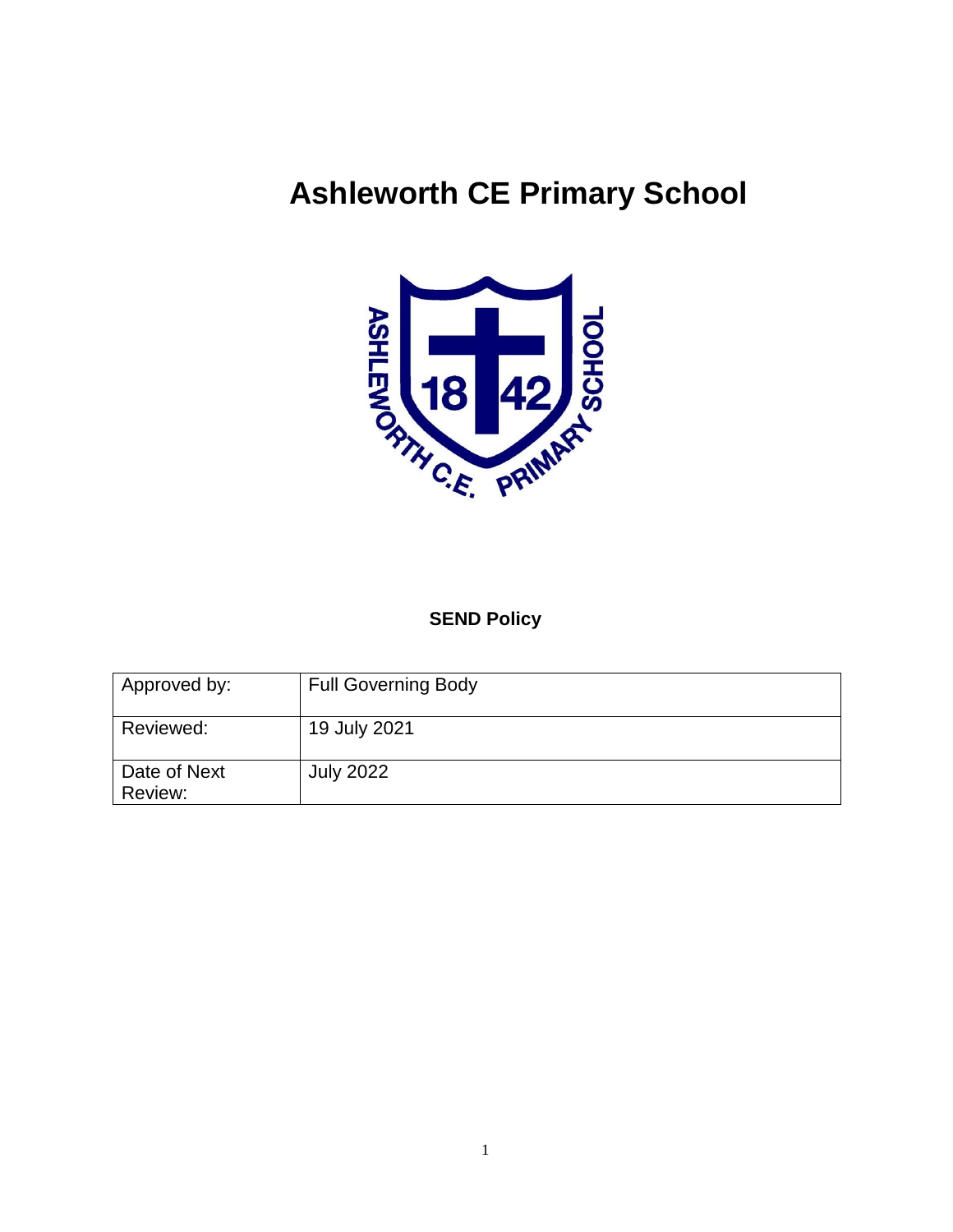# **Ashleworth CE Primary School**



# **SEND Policy**

| Approved by:            | <b>Full Governing Body</b> |
|-------------------------|----------------------------|
| Reviewed:               | 19 July 2021               |
| Date of Next<br>Review: | <b>July 2022</b>           |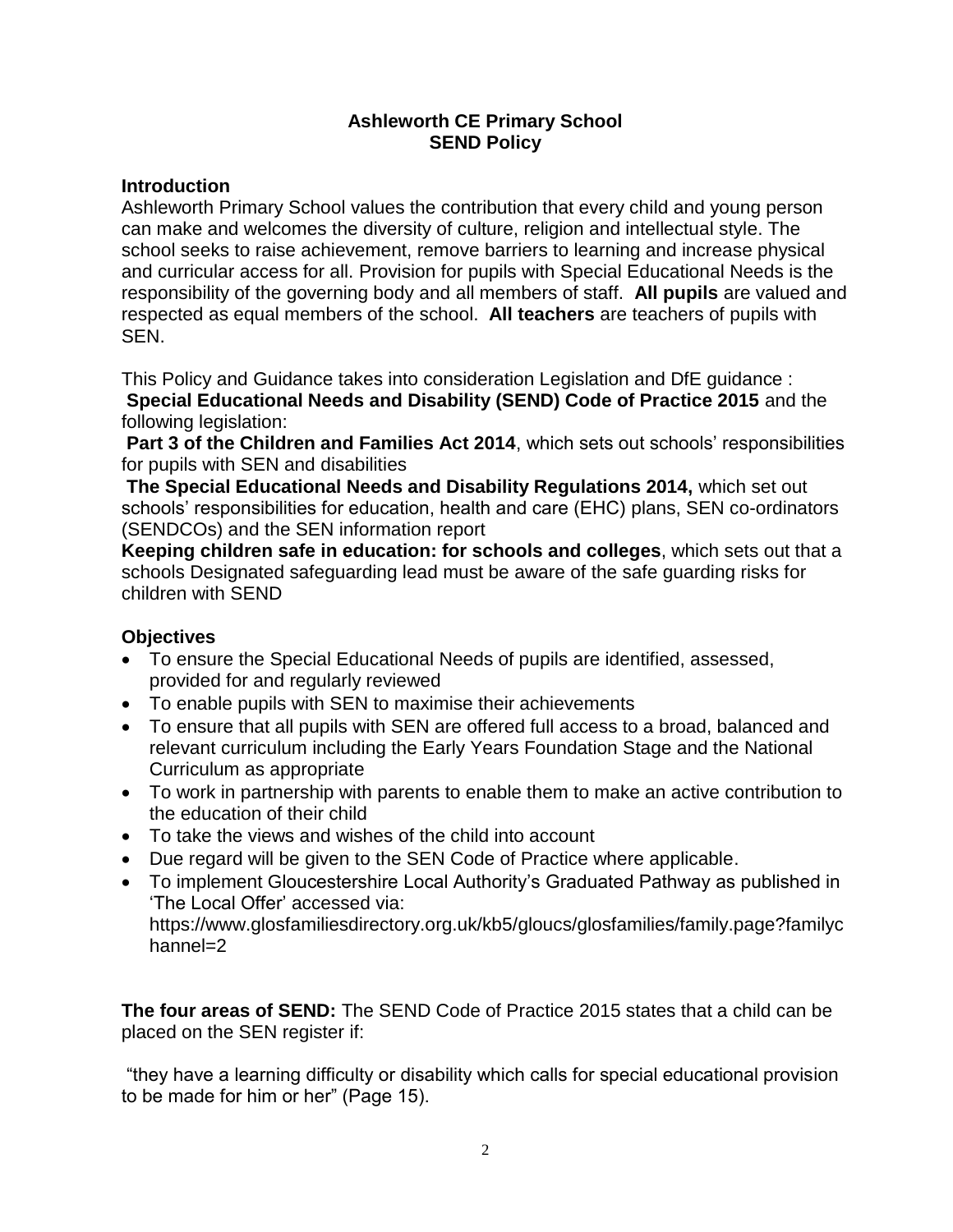# **Ashleworth CE Primary School SEND Policy**

## **Introduction**

Ashleworth Primary School values the contribution that every child and young person can make and welcomes the diversity of culture, religion and intellectual style. The school seeks to raise achievement, remove barriers to learning and increase physical and curricular access for all. Provision for pupils with Special Educational Needs is the responsibility of the governing body and all members of staff. **All pupils** are valued and respected as equal members of the school. **All teachers** are teachers of pupils with SEN.

This Policy and Guidance takes into consideration Legislation and DfE guidance :

**Special Educational Needs and Disability (SEND) Code of Practice 2015** and the following legislation:

Part 3 of the Children and Families Act 2014, which sets out schools' responsibilities for pupils with SEN and disabilities

**The Special Educational Needs and Disability Regulations 2014,** which set out schools' responsibilities for education, health and care (EHC) plans, SEN co-ordinators (SENDCOs) and the SEN information report

**Keeping children safe in education: for schools and colleges**, which sets out that a schools Designated safeguarding lead must be aware of the safe guarding risks for children with SEND

# **Objectives**

- To ensure the Special Educational Needs of pupils are identified, assessed, provided for and regularly reviewed
- To enable pupils with SEN to maximise their achievements
- To ensure that all pupils with SEN are offered full access to a broad, balanced and relevant curriculum including the Early Years Foundation Stage and the National Curriculum as appropriate
- To work in partnership with parents to enable them to make an active contribution to the education of their child
- To take the views and wishes of the child into account
- Due regard will be given to the SEN Code of Practice where applicable.
- To implement Gloucestershire Local Authority's Graduated Pathway as published in 'The Local Offer' accessed via:

https://www.glosfamiliesdirectory.org.uk/kb5/gloucs/glosfamilies/family.page?familyc hannel=2

**The four areas of SEND:** The SEND Code of Practice 2015 states that a child can be placed on the SEN register if:

"they have a learning difficulty or disability which calls for special educational provision to be made for him or her" (Page 15).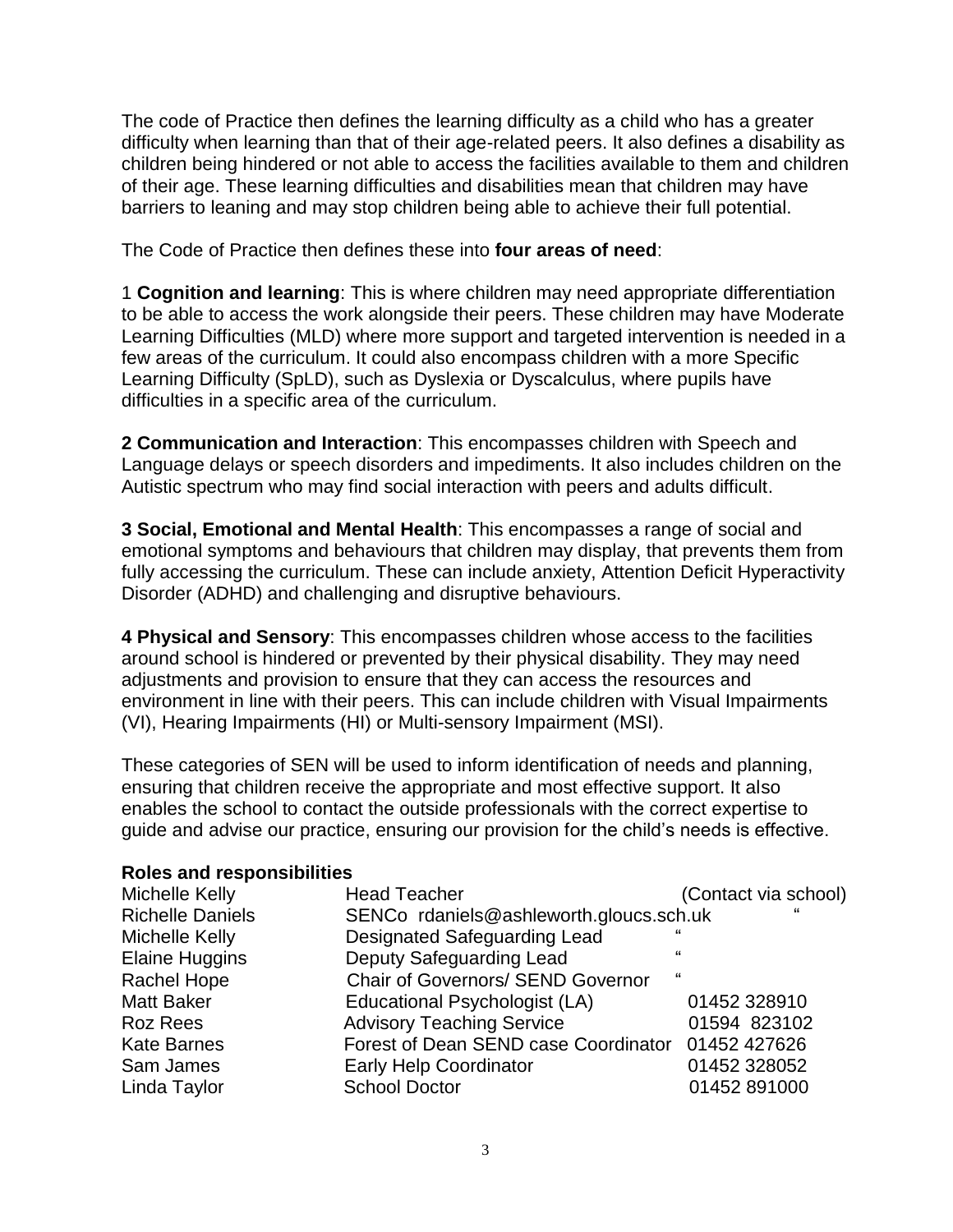The code of Practice then defines the learning difficulty as a child who has a greater difficulty when learning than that of their age-related peers. It also defines a disability as children being hindered or not able to access the facilities available to them and children of their age. These learning difficulties and disabilities mean that children may have barriers to leaning and may stop children being able to achieve their full potential.

The Code of Practice then defines these into **four areas of need**:

1 **Cognition and learning**: This is where children may need appropriate differentiation to be able to access the work alongside their peers. These children may have Moderate Learning Difficulties (MLD) where more support and targeted intervention is needed in a few areas of the curriculum. It could also encompass children with a more Specific Learning Difficulty (SpLD), such as Dyslexia or Dyscalculus, where pupils have difficulties in a specific area of the curriculum.

**2 Communication and Interaction**: This encompasses children with Speech and Language delays or speech disorders and impediments. It also includes children on the Autistic spectrum who may find social interaction with peers and adults difficult.

**3 Social, Emotional and Mental Health**: This encompasses a range of social and emotional symptoms and behaviours that children may display, that prevents them from fully accessing the curriculum. These can include anxiety, Attention Deficit Hyperactivity Disorder (ADHD) and challenging and disruptive behaviours.

**4 Physical and Sensory**: This encompasses children whose access to the facilities around school is hindered or prevented by their physical disability. They may need adjustments and provision to ensure that they can access the resources and environment in line with their peers. This can include children with Visual Impairments (VI), Hearing Impairments (HI) or Multi-sensory Impairment (MSI).

These categories of SEN will be used to inform identification of needs and planning, ensuring that children receive the appropriate and most effective support. It also enables the school to contact the outside professionals with the correct expertise to guide and advise our practice, ensuring our provision for the child's needs is effective.

| <b>Reports and responsibilities</b> |                                          |                      |  |
|-------------------------------------|------------------------------------------|----------------------|--|
| Michelle Kelly                      | <b>Head Teacher</b>                      | (Contact via school) |  |
| <b>Richelle Daniels</b>             | SENCo rdaniels@ashleworth.gloucs.sch.uk  | "                    |  |
| Michelle Kelly                      | <b>Designated Safeguarding Lead</b>      | "                    |  |
| <b>Elaine Huggins</b>               | Deputy Safeguarding Lead                 | $\epsilon$           |  |
| Rachel Hope                         | <b>Chair of Governors/ SEND Governor</b> | "                    |  |
| <b>Matt Baker</b>                   | Educational Psychologist (LA)            | 01452 328910         |  |
| <b>Roz Rees</b>                     | <b>Advisory Teaching Service</b>         | 01594 823102         |  |
| <b>Kate Barnes</b>                  | Forest of Dean SEND case Coordinator     | 01452 427626         |  |
| Sam James                           | <b>Early Help Coordinator</b>            | 01452 328052         |  |
| Linda Taylor                        | <b>School Doctor</b>                     | 01452 891000         |  |
|                                     |                                          |                      |  |

## **Roles and responsibilities**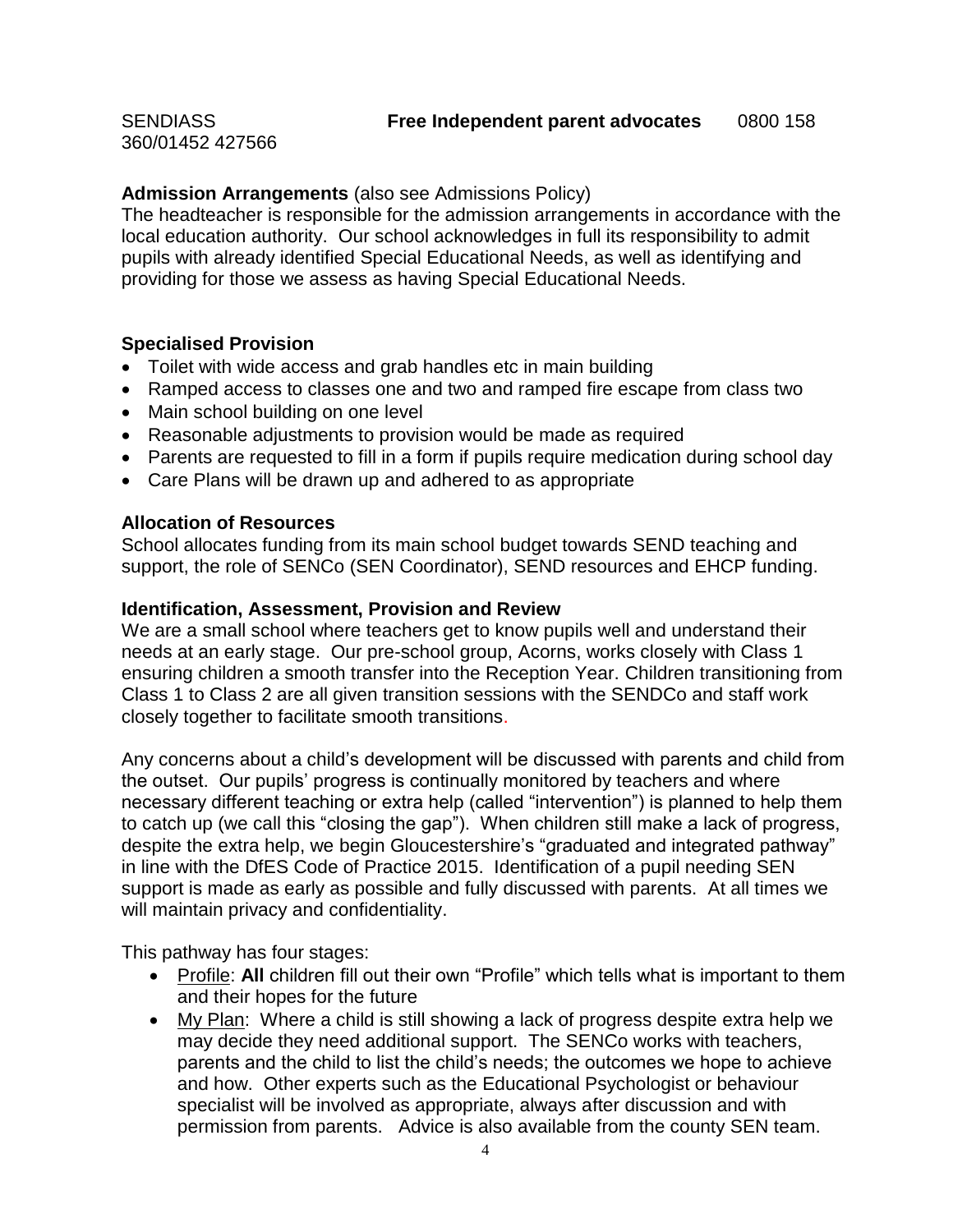360/01452 427566

## **Admission Arrangements** (also see Admissions Policy)

The headteacher is responsible for the admission arrangements in accordance with the local education authority. Our school acknowledges in full its responsibility to admit pupils with already identified Special Educational Needs, as well as identifying and providing for those we assess as having Special Educational Needs.

## **Specialised Provision**

- Toilet with wide access and grab handles etc in main building
- Ramped access to classes one and two and ramped fire escape from class two
- Main school building on one level
- Reasonable adjustments to provision would be made as required
- Parents are requested to fill in a form if pupils require medication during school day
- Care Plans will be drawn up and adhered to as appropriate

#### **Allocation of Resources**

School allocates funding from its main school budget towards SEND teaching and support, the role of SENCo (SEN Coordinator), SEND resources and EHCP funding.

#### **Identification, Assessment, Provision and Review**

We are a small school where teachers get to know pupils well and understand their needs at an early stage. Our pre-school group, Acorns, works closely with Class 1 ensuring children a smooth transfer into the Reception Year. Children transitioning from Class 1 to Class 2 are all given transition sessions with the SENDCo and staff work closely together to facilitate smooth transitions.

Any concerns about a child's development will be discussed with parents and child from the outset. Our pupils' progress is continually monitored by teachers and where necessary different teaching or extra help (called "intervention") is planned to help them to catch up (we call this "closing the gap"). When children still make a lack of progress, despite the extra help, we begin Gloucestershire's "graduated and integrated pathway" in line with the DfES Code of Practice 2015. Identification of a pupil needing SEN support is made as early as possible and fully discussed with parents. At all times we will maintain privacy and confidentiality.

This pathway has four stages:

- Profile: **All** children fill out their own "Profile" which tells what is important to them and their hopes for the future
- My Plan: Where a child is still showing a lack of progress despite extra help we may decide they need additional support. The SENCo works with teachers, parents and the child to list the child's needs; the outcomes we hope to achieve and how. Other experts such as the Educational Psychologist or behaviour specialist will be involved as appropriate, always after discussion and with permission from parents. Advice is also available from the county SEN team.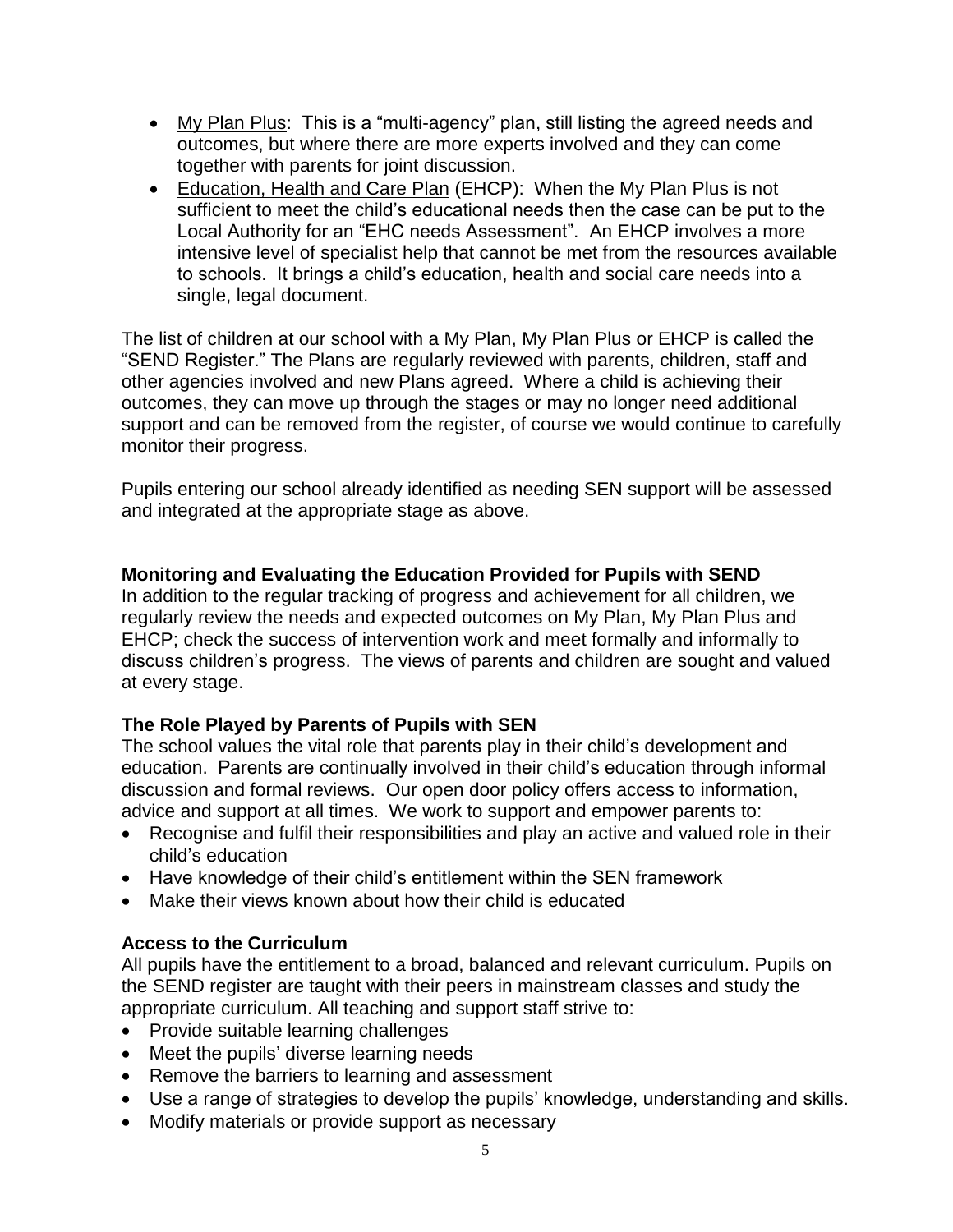- My Plan Plus: This is a "multi-agency" plan, still listing the agreed needs and outcomes, but where there are more experts involved and they can come together with parents for joint discussion.
- Education, Health and Care Plan (EHCP): When the My Plan Plus is not sufficient to meet the child's educational needs then the case can be put to the Local Authority for an "EHC needs Assessment". An EHCP involves a more intensive level of specialist help that cannot be met from the resources available to schools. It brings a child's education, health and social care needs into a single, legal document.

The list of children at our school with a My Plan, My Plan Plus or EHCP is called the "SEND Register." The Plans are regularly reviewed with parents, children, staff and other agencies involved and new Plans agreed. Where a child is achieving their outcomes, they can move up through the stages or may no longer need additional support and can be removed from the register, of course we would continue to carefully monitor their progress.

Pupils entering our school already identified as needing SEN support will be assessed and integrated at the appropriate stage as above.

# **Monitoring and Evaluating the Education Provided for Pupils with SEND**

In addition to the regular tracking of progress and achievement for all children, we regularly review the needs and expected outcomes on My Plan, My Plan Plus and EHCP; check the success of intervention work and meet formally and informally to discuss children's progress. The views of parents and children are sought and valued at every stage.

# **The Role Played by Parents of Pupils with SEN**

The school values the vital role that parents play in their child's development and education. Parents are continually involved in their child's education through informal discussion and formal reviews. Our open door policy offers access to information, advice and support at all times. We work to support and empower parents to:

- Recognise and fulfil their responsibilities and play an active and valued role in their child's education
- Have knowledge of their child's entitlement within the SEN framework
- Make their views known about how their child is educated

# **Access to the Curriculum**

All pupils have the entitlement to a broad, balanced and relevant curriculum. Pupils on the SEND register are taught with their peers in mainstream classes and study the appropriate curriculum. All teaching and support staff strive to:

- Provide suitable learning challenges
- Meet the pupils' diverse learning needs
- Remove the barriers to learning and assessment
- Use a range of strategies to develop the pupils' knowledge, understanding and skills.
- Modify materials or provide support as necessary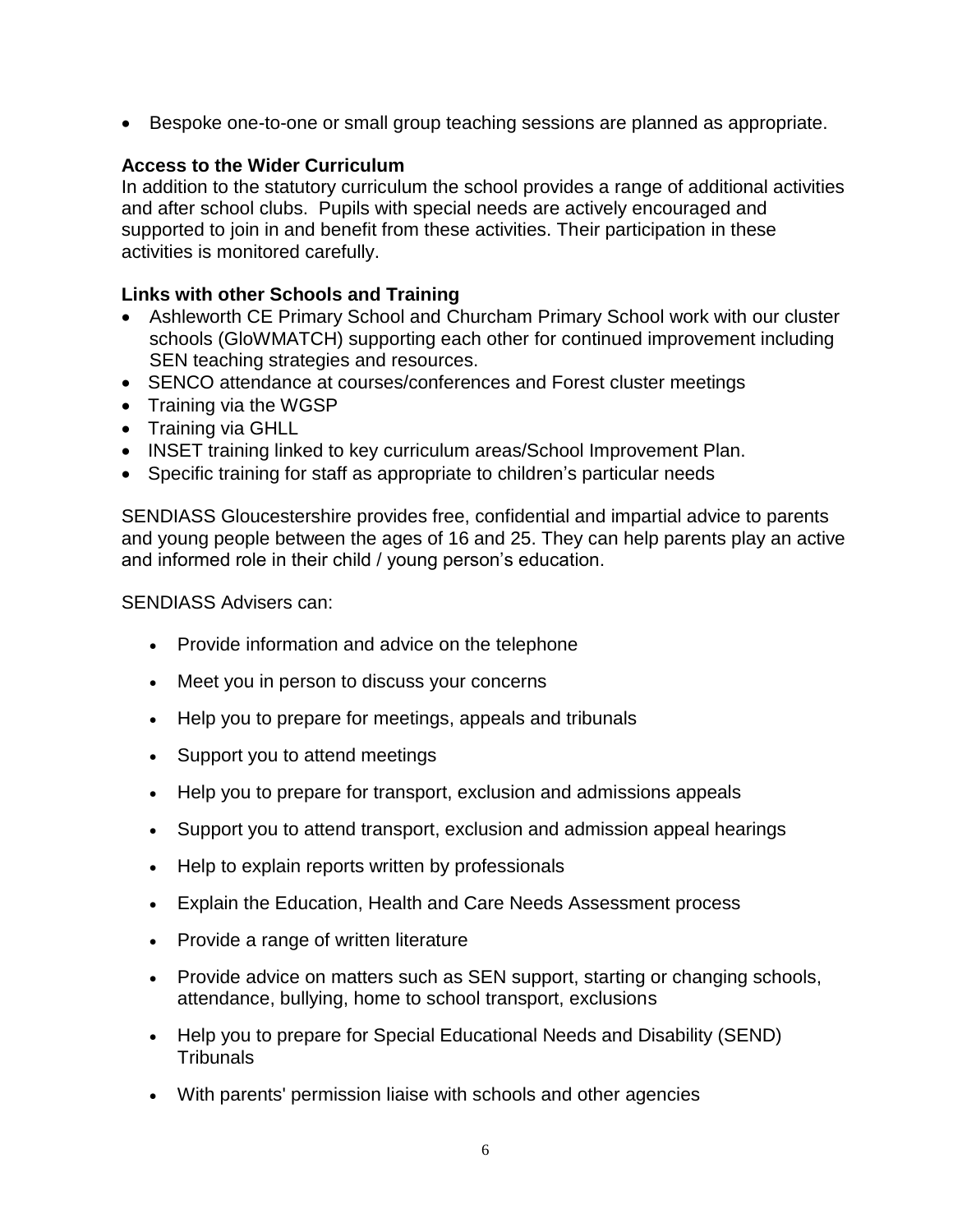• Bespoke one-to-one or small group teaching sessions are planned as appropriate.

# **Access to the Wider Curriculum**

In addition to the statutory curriculum the school provides a range of additional activities and after school clubs. Pupils with special needs are actively encouraged and supported to join in and benefit from these activities. Their participation in these activities is monitored carefully.

# **Links with other Schools and Training**

- Ashleworth CE Primary School and Churcham Primary School work with our cluster schools (GloWMATCH) supporting each other for continued improvement including SEN teaching strategies and resources.
- SENCO attendance at courses/conferences and Forest cluster meetings
- Training via the WGSP
- Training via GHLL
- INSET training linked to key curriculum areas/School Improvement Plan.
- Specific training for staff as appropriate to children's particular needs

SENDIASS Gloucestershire provides free, confidential and impartial advice to parents and young people between the ages of 16 and 25. They can help parents play an active and informed role in their child / young person's education.

SENDIASS Advisers can:

- Provide information and advice on the telephone
- Meet you in person to discuss your concerns
- Help you to prepare for meetings, appeals and tribunals
- Support you to attend meetings
- Help you to prepare for transport, exclusion and admissions appeals
- Support you to attend transport, exclusion and admission appeal hearings
- Help to explain reports written by professionals
- Explain the Education, Health and Care Needs Assessment process
- Provide a range of written literature
- Provide advice on matters such as SEN support, starting or changing schools, attendance, bullying, home to school transport, exclusions
- Help you to prepare for Special Educational Needs and Disability (SEND) **Tribunals**
- With parents' permission liaise with schools and other agencies